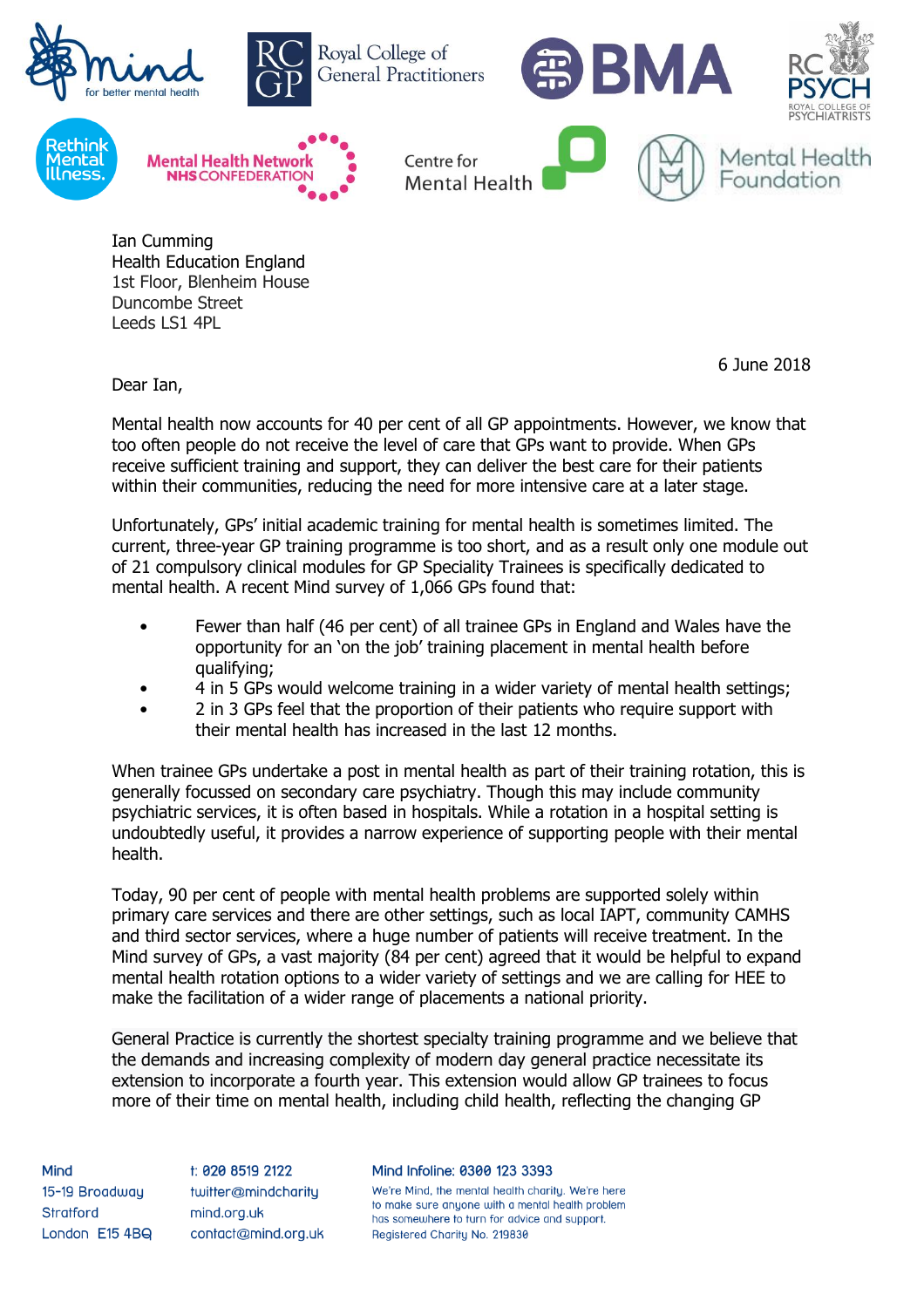

Ian Cumming Health Education England 1st Floor, Blenheim House Duncombe Street Leeds LS1 4PL

6 June 2018

Dear Ian,

Mental health now accounts for 40 per cent of all GP appointments. However, we know that too often people do not receive the level of care that GPs want to provide. When GPs receive sufficient training and support, they can deliver the best care for their patients within their communities, reducing the need for more intensive care at a later stage.

Unfortunately, GPs' initial academic training for mental health is sometimes limited. The current, three-year GP training programme is too short, and as a result only one module out of 21 compulsory clinical modules for GP Speciality Trainees is specifically dedicated to mental health. A recent Mind survey of 1,066 GPs found that:

- Fewer than half (46 per cent) of all trainee GPs in England and Wales have the opportunity for an 'on the job' training placement in mental health before qualifying;
- 4 in 5 GPs would welcome training in a wider variety of mental health settings;
- 2 in 3 GPs feel that the proportion of their patients who require support with their mental health has increased in the last 12 months.

When trainee GPs undertake a post in mental health as part of their training rotation, this is generally focussed on secondary care psychiatry. Though this may include community psychiatric services, it is often based in hospitals. While a rotation in a hospital setting is undoubtedly useful, it provides a narrow experience of supporting people with their mental health.

Today, 90 per cent of people with mental health problems are supported solely within primary care services and there are other settings, such as local IAPT, community CAMHS and third sector services, where a huge number of patients will receive treatment. In the Mind survey of GPs, a vast majority (84 per cent) agreed that it would be helpful to expand mental health rotation options to a wider variety of settings and we are calling for HEE to make the facilitation of a wider range of placements a national priority.

General Practice is currently the shortest specialty training programme and we believe that the demands and increasing complexity of modern day general practice necessitate its extension to incorporate a fourth year. This extension would allow GP trainees to focus more of their time on mental health, including child health, reflecting the changing GP

Mind 15-19 Broadway **Stratford** London E15 4BQ

t: 020 8519 2122 twitter@mindcharity mind.org.uk contact@mind.org.uk Mind Infoline: 0300 123 3393

We're Mind, the mental health charity. We're here to make sure anyone with a mental health problem has somewhere to turn for advice and support. Registered Charity No. 219830